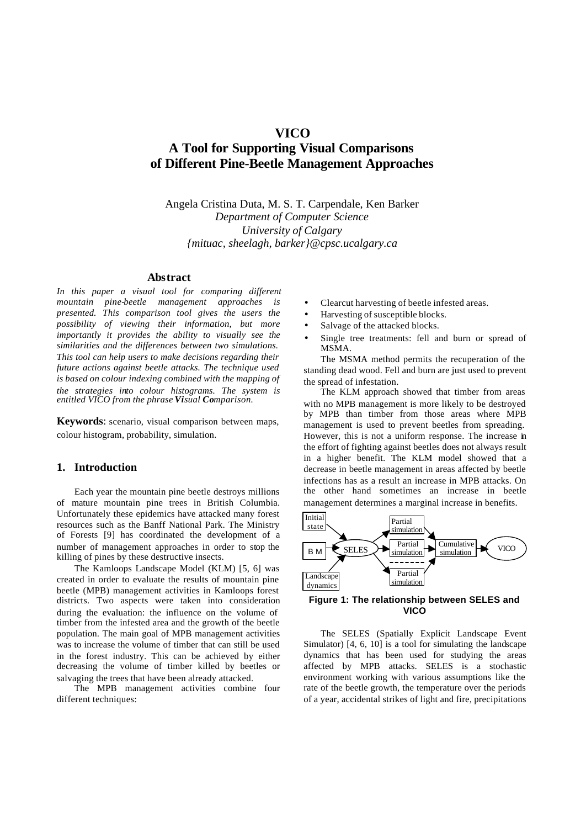# **VICO**

# **A Tool for Supporting Visual Comparisons of Different Pine-Beetle Management Approaches**

Angela Cristina Duta, M. S. T. Carpendale, Ken Barker *Department of Computer Science University of Calgary {mituac, sheelagh, barker}@cpsc.ucalgary.ca*

## **Abstract**

*In this paper a visual tool for comparing different mountain pine-beetle management approaches is presented. This comparison tool gives the users the possibility of viewing their information, but more importantly it provides the ability to visually see the similarities and the differences between two simulations. This tool can help users to make decisions regarding their future actions against beetle attacks. The technique used is based on colour indexing combined with the mapping of the strategies into colour histograms. The system is entitled VICO from the phrase Visual Comparison.*

**Keywords**: scenario, visual comparison between maps, colour histogram, probability, simulation.

## **1. Introduction**

Each year the mountain pine beetle destroys millions of mature mountain pine trees in British Columbia. Unfortunately these epidemics have attacked many forest resources such as the Banff National Park. The Ministry of Forests [9] has coordinated the development of a number of management approaches in order to stop the killing of pines by these destructive insects.

The Kamloops Landscape Model (KLM) [5, 6] was created in order to evaluate the results of mountain pine beetle (MPB) management activities in Kamloops forest districts. Two aspects were taken into consideration during the evaluation: the influence on the volume of timber from the infested area and the growth of the beetle population. The main goal of MPB management activities was to increase the volume of timber that can still be used in the forest industry. This can be achieved by either decreasing the volume of timber killed by beetles or salvaging the trees that have been already attacked.

The MPB management activities combine four different techniques:

- Clearcut harvesting of beetle infested areas.
- Harvesting of susceptible blocks.
- Salvage of the attacked blocks.
- Single tree treatments: fell and burn or spread of MSMA.

The MSMA method permits the recuperation of the standing dead wood. Fell and burn are just used to prevent the spread of infestation.

The KLM approach showed that timber from areas with no MPB management is more likely to be destroyed by MPB than timber from those areas where MPB management is used to prevent beetles from spreading. However, this is not a uniform response. The increase in the effort of fighting against beetles does not always result in a higher benefit. The KLM model showed that a decrease in beetle management in areas affected by beetle infections has as a result an increase in MPB attacks. On the other hand sometimes an increase in beetle management determines a marginal increase in benefits.



**Figure 1: The relationship between SELES and VICO** 

The SELES (Spatially Explicit Landscape Event Simulator) [4, 6, 10] is a tool for simulating the landscape dynamics that has been used for studying the areas affected by MPB attacks. SELES is a stochastic environment working with various assumptions like the rate of the beetle growth, the temperature over the periods of a year, accidental strikes of light and fire, precipitations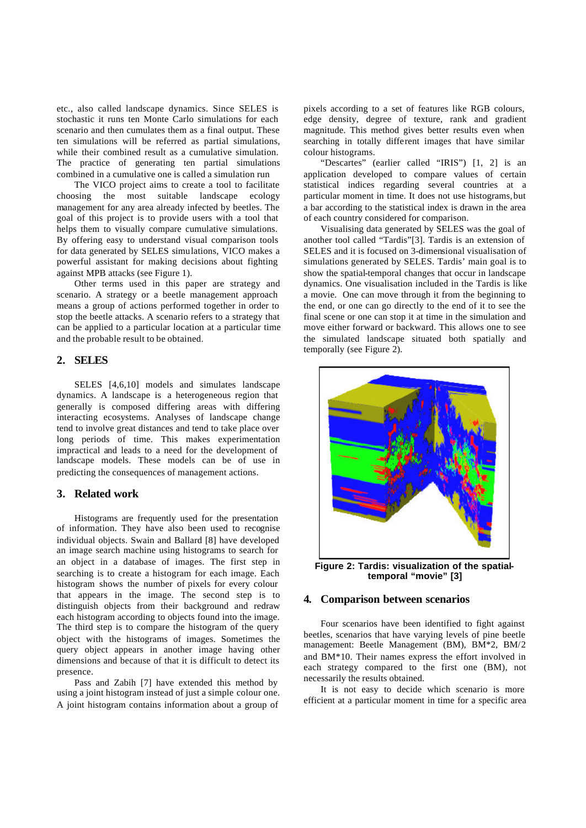etc., also called landscape dynamics. Since SELES is stochastic it runs ten Monte Carlo simulations for each scenario and then cumulates them as a final output. These ten simulations will be referred as partial simulations, while their combined result as a cumulative simulation. The practice of generating ten partial simulations combined in a cumulative one is called a simulation run

The VICO project aims to create a tool to facilitate choosing the most suitable landscape ecology management for any area already infected by beetles. The goal of this project is to provide users with a tool that helps them to visually compare cumulative simulations. By offering easy to understand visual comparison tools for data generated by SELES simulations, VICO makes a powerful assistant for making decisions about fighting against MPB attacks (see Figure 1).

Other terms used in this paper are strategy and scenario. A strategy or a beetle management approach means a group of actions performed together in order to stop the beetle attacks. A scenario refers to a strategy that can be applied to a particular location at a particular time and the probable result to be obtained.

## **2. SELES**

SELES [4,6,10] models and simulates landscape dynamics. A landscape is a heterogeneous region that generally is composed differing areas with differing interacting ecosystems. Analyses of landscape change tend to involve great distances and tend to take place over long periods of time. This makes experimentation impractical and leads to a need for the development of landscape models. These models can be of use in predicting the consequences of management actions.

## **3. Related work**

Histograms are frequently used for the presentation of information. They have also been used to recognise individual objects. Swain and Ballard [8] have developed an image search machine using histograms to search for an object in a database of images. The first step in searching is to create a histogram for each image. Each histogram shows the number of pixels for every colour that appears in the image. The second step is to distinguish objects from their background and redraw each histogram according to objects found into the image. The third step is to compare the histogram of the query object with the histograms of images. Sometimes the query object appears in another image having other dimensions and because of that it is difficult to detect its presence.

Pass and Zabih [7] have extended this method by using a joint histogram instead of just a simple colour one. A joint histogram contains information about a group of

pixels according to a set of features like RGB colours, edge density, degree of texture, rank and gradient magnitude. This method gives better results even when searching in totally different images that have similar colour histograms.

"Descartes" (earlier called "IRIS") [1, 2] is an application developed to compare values of certain statistical indices regarding several countries at a particular moment in time. It does not use histograms, but a bar according to the statistical index is drawn in the area of each country considered for comparison.

Visualising data generated by SELES was the goal of another tool called "Tardis"[3]. Tardis is an extension of SELES and it is focused on 3-dimensional visualisation of simulations generated by SELES. Tardis' main goal is to show the spatial-temporal changes that occur in landscape dynamics. One visualisation included in the Tardis is like a movie. One can move through it from the beginning to the end, or one can go directly to the end of it to see the final scene or one can stop it at time in the simulation and move either forward or backward. This allows one to see the simulated landscape situated both spatially and temporally (see Figure 2).



**Figure 2: Tardis: visualization of the spatialtemporal "movie" [3]**

## **4. Comparison between scenarios**

Four scenarios have been identified to fight against beetles, scenarios that have varying levels of pine beetle management: Beetle Management (BM), BM\*2, BM/2 and BM\*10. Their names express the effort involved in each strategy compared to the first one (BM), not necessarily the results obtained.

It is not easy to decide which scenario is more efficient at a particular moment in time for a specific area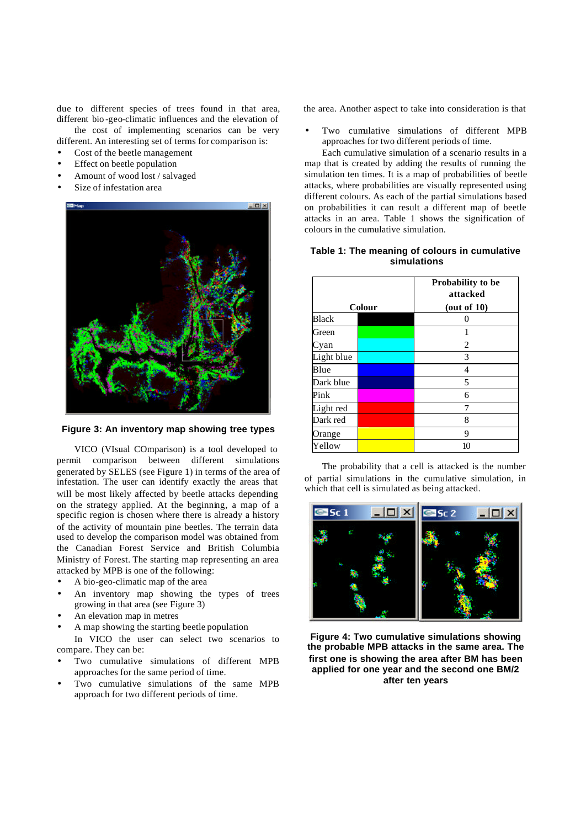due to different species of trees found in that area, different bio -geo-climatic influences and the elevation of the cost of implementing scenarios can be very

different. An interesting set of terms for comparison is:

- Cost of the beetle management
- Effect on beetle population
- Amount of wood lost / salvaged
- Size of infestation area



**Figure 3: An inventory map showing tree types**

VICO (VIsual COmparison) is a tool developed to permit comparison between different simulations generated by SELES (see Figure 1) in terms of the area of infestation. The user can identify exactly the areas that will be most likely affected by beetle attacks depending on the strategy applied. At the beginning, a map of a specific region is chosen where there is already a history of the activity of mountain pine beetles. The terrain data used to develop the comparison model was obtained from the Canadian Forest Service and British Columbia Ministry of Forest. The starting map representing an area attacked by MPB is one of the following:

- A bio-geo-climatic map of the area
- An inventory map showing the types of trees growing in that area (see Figure 3)
- An elevation map in metres
- A map showing the starting beetle population

In VICO the user can select two scenarios to compare. They can be:

- Two cumulative simulations of different MPB approaches for the same period of time.
- Two cumulative simulations of the same MPB approach for two different periods of time.

the area. Another aspect to take into consideration is that

Two cumulative simulations of different MPB approaches for two different periods of time.

Each cumulative simulation of a scenario results in a map that is created by adding the results of running the simulation ten times. It is a map of probabilities of beetle attacks, where probabilities are visually represented using different colours. As each of the partial simulations based on probabilities it can result a different map of beetle attacks in an area. Table 1 shows the signification of colours in the cumulative simulation.

| Table 1: The meaning of colours in cumulative |  |  |  |  |  |
|-----------------------------------------------|--|--|--|--|--|
| simulations                                   |  |  |  |  |  |

|               |  | Probability to be<br>attacked |
|---------------|--|-------------------------------|
| <b>Colour</b> |  | (out of $10$ )                |
| <b>Black</b>  |  |                               |
| Green         |  | 1                             |
| Cyan          |  | 2                             |
| Light blue    |  | 3                             |
| Blue          |  | 4                             |
| Dark blue     |  | 5                             |
| Pink          |  | 6                             |
| Light red     |  | 7                             |
| Dark red      |  | 8                             |
| Orange        |  | 9                             |
| Yellow        |  | 10                            |

The probability that a cell is attacked is the number of partial simulations in the cumulative simulation, in which that cell is simulated as being attacked.



**Figure 4: Two cumulative simulations showing the probable MPB attacks in the same area. The first one is showing the area after BM has been applied for one year and the second one BM/2 after ten years**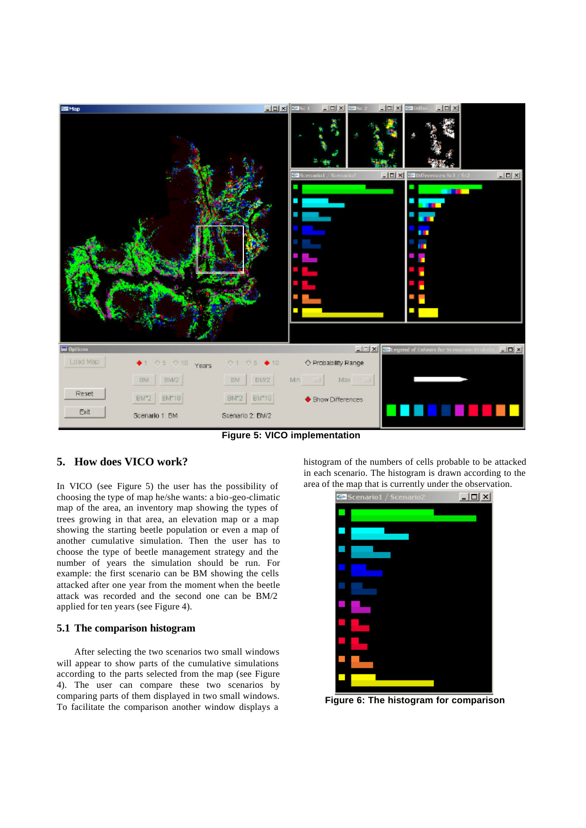

**Figure 5: VICO implementation**

# **5. How does VICO work?**

In VICO (see Figure 5) the user has the possibility of choosing the type of map he/she wants: a bio-geo-climatic map of the area, an inventory map showing the types of trees growing in that area, an elevation map or a map showing the starting beetle population or even a map of another cumulative simulation. Then the user has to choose the type of beetle management strategy and the number of years the simulation should be run. For example: the first scenario can be BM showing the cells attacked after one year from the moment when the beetle attack was recorded and the second one can be BM/2 applied for ten years (see Figure 4).

## **5.1 The comparison histogram**

After selecting the two scenarios two small windows will appear to show parts of the cumulative simulations according to the parts selected from the map (see Figure 4). The user can compare these two scenarios by comparing parts of them displayed in two small windows. To facilitate the comparison another window displays a

histogram of the numbers of cells probable to be attacked in each scenario. The histogram is drawn according to the area of the map that is currently under the observation.



**Figure 6: The histogram for comparison**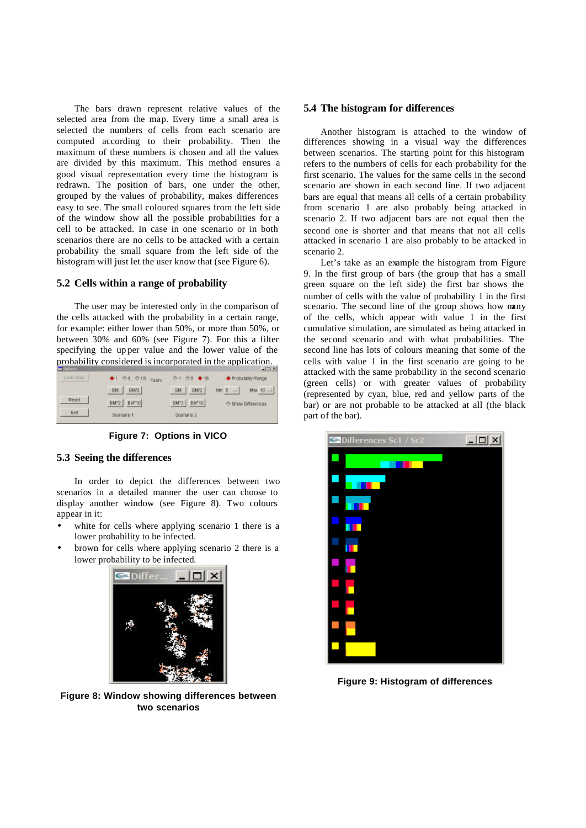The bars drawn represent relative values of the selected area from the map. Every time a small area is selected the numbers of cells from each scenario are computed according to their probability. Then the maximum of these numbers is chosen and all the values are divided by this maximum. This method ensures a good visual representation every time the histogram is redrawn. The position of bars, one under the other, grouped by the values of probability, makes differences easy to see. The small coloured squares from the left side of the window show all the possible probabilities for a cell to be attacked. In case in one scenario or in both scenarios there are no cells to be attacked with a certain probability the small square from the left side of the histogram will just let the user know that (see Figure 6).

#### **5.2 Cells within a range of probability**

The user may be interested only in the comparison of the cells attacked with the probability in a certain range, for example: either lower than 50%, or more than 50%, or between 30% and 60% (see Figure 7). For this a filter specifying the up per value and the lower value of the probability considered is incorporated in the application.

| LOANING! | $+105.010$ vases     | $0101 + 10$             | ◆ Probability Range         |
|----------|----------------------|-------------------------|-----------------------------|
|          | $H$ EM2<br><b>BM</b> | <b>BM2</b><br><b>EM</b> | $M = 10 - 1$<br>$Mn.5$ $-1$ |
| Reset    | BM"10<br>B14''2      | EM'2 EM'10              | O Show Differences          |
| Ext      | Sconario 1           | Scenario 2              |                             |

**Figure 7: Options in VICO**

## **5.3 Seeing the differences**

In order to depict the differences between two scenarios in a detailed manner the user can choose to display another window (see Figure 8). Two colours appear in it:

- white for cells where applying scenario 1 there is a lower probability to be infected.
- brown for cells where applying scenario 2 there is a lower probability to be infected.



**Figure 8: Window showing differences between two scenarios**

#### **5.4 The histogram for differences**

Another histogram is attached to the window of differences showing in a visual way the differences between scenarios. The starting point for this histogram refers to the numbers of cells for each probability for the first scenario. The values for the same cells in the second scenario are shown in each second line. If two adjacent bars are equal that means all cells of a certain probability from scenario 1 are also probably being attacked in scenario 2. If two adjacent bars are not equal then the second one is shorter and that means that not all cells attacked in scenario 1 are also probably to be attacked in scenario 2.

Let's take as an example the histogram from Figure 9. In the first group of bars (the group that has a small green square on the left side) the first bar shows the number of cells with the value of probability 1 in the first scenario. The second line of the group shows how many of the cells, which appear with value 1 in the first cumulative simulation, are simulated as being attacked in the second scenario and with what probabilities. The second line has lots of colours meaning that some of the cells with value 1 in the first scenario are going to be attacked with the same probability in the second scenario (green cells) or with greater values of probability (represented by cyan, blue, red and yellow parts of the bar) or are not probable to be attacked at all (the black part of the bar).

| C Differences Sc1 / Sc2 | $ \Box$ $\times$ |
|-------------------------|------------------|
|                         |                  |
|                         |                  |
|                         |                  |
|                         |                  |
| П                       |                  |
| F                       |                  |
|                         |                  |
|                         |                  |
|                         |                  |
|                         |                  |

**Figure 9: Histogram of differences**